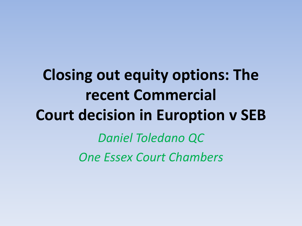## **Closing out equity options: The recent Commercial Court decision in Euroption v SEB** *Daniel Toledano QC*

*One Essex Court Chambers*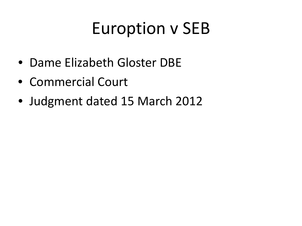## Euroption v SEB

- Dame Elizabeth Gloster DBE
- Commercial Court
- Judgment dated 15 March 2012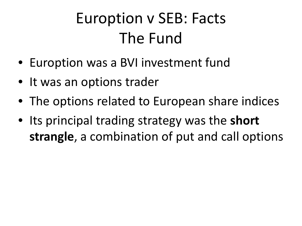#### Euroption v SEB: Facts The Fund

- Euroption was a BVI investment fund
- It was an options trader
- The options related to European share indices
- Its principal trading strategy was the **short strangle**, a combination of put and call options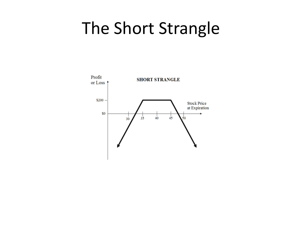#### The Short Strangle

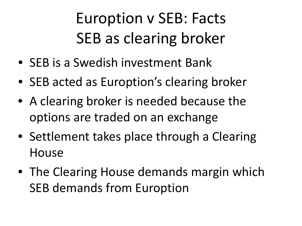Euroption v SEB: Facts SEB as clearing broker

- SEB is a Swedish investment Bank
- SEB acted as Euroption's clearing broker
- A clearing broker is needed because the options are traded on an exchange
- Settlement takes place through a Clearing **House**
- The Clearing House demands margin which SEB demands from Euroption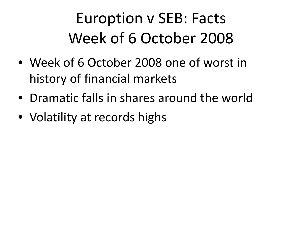#### Euroption v SEB: Facts Week of 6 October 2008

- Week of 6 October 2008 one of worst in history of financial markets
- Dramatic falls in shares around the world
- Volatility at records highs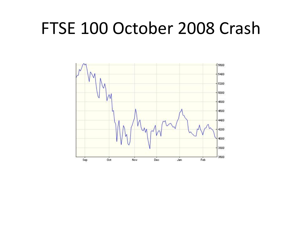#### FTSE 100 October 2008 Crash

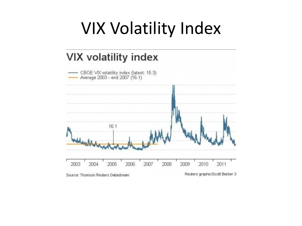#### VIX Volatility Index

#### **VIX volatility index**

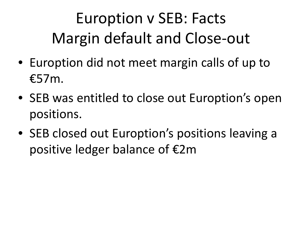## Euroption v SEB: Facts Margin default and Close-out

- Euroption did not meet margin calls of up to €57m.
- SEB was entitled to close out Euroption's open positions.
- SEB closed out Euroption's positions leaving a positive ledger balance of €2m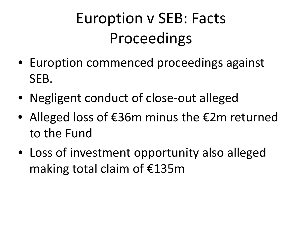#### Euroption v SEB: Facts Proceedings

- Euroption commenced proceedings against SEB.
- Negligent conduct of close-out alleged
- Alleged loss of €36m minus the €2m returned to the Fund
- Loss of investment opportunity also alleged making total claim of €135m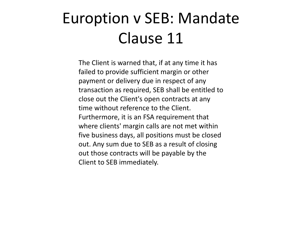#### Euroption v SEB: Mandate Clause 11

The Client is warned that, if at any time it has failed to provide sufficient margin or other payment or delivery due in respect of any transaction as required, SEB shall be entitled to close out the Client's open contracts at any time without reference to the Client. Furthermore, it is an FSA requirement that where clients' margin calls are not met within five business days, all positions must be closed out. Any sum due to SEB as a result of closing out those contracts will be payable by the Client to SEB immediately.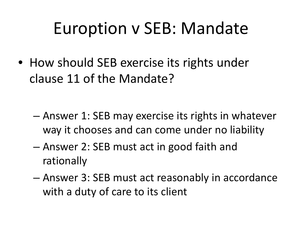## Euroption v SEB: Mandate

• How should SEB exercise its rights under clause 11 of the Mandate?

- Answer 1: SEB may exercise its rights in whatever way it chooses and can come under no liability
- Answer 2: SEB must act in good faith and rationally
- Answer 3: SEB must act reasonably in accordance with a duty of care to its client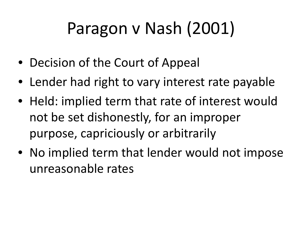# Paragon v Nash (2001)

- Decision of the Court of Appeal
- Lender had right to vary interest rate payable
- Held: implied term that rate of interest would not be set dishonestly, for an improper purpose, capriciously or arbitrarily
- No implied term that lender would not impose unreasonable rates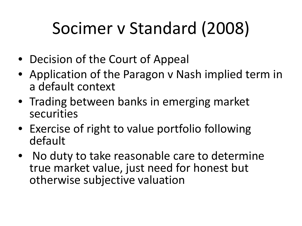# Socimer v Standard (2008)

- Decision of the Court of Appeal
- Application of the Paragon v Nash implied term in a default context
- Trading between banks in emerging market securities
- Exercise of right to value portfolio following default
- No duty to take reasonable care to determine true market value, just need for honest but otherwise subjective valuation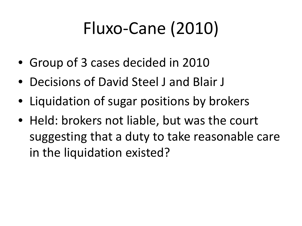# Fluxo-Cane (2010)

- Group of 3 cases decided in 2010
- Decisions of David Steel J and Blair J
- Liquidation of sugar positions by brokers
- Held: brokers not liable, but was the court suggesting that a duty to take reasonable care in the liquidation existed?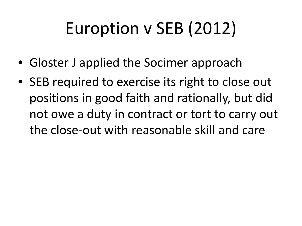# Euroption v SEB (2012)

- Gloster J applied the Socimer approach
- SEB required to exercise its right to close out positions in good faith and rationally, but did not owe a duty in contract or tort to carry out the close-out with reasonable skill and care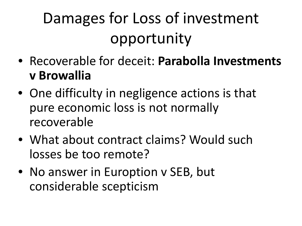## Damages for Loss of investment opportunity

- Recoverable for deceit: **Parabolla Investments v Browallia**
- One difficulty in negligence actions is that pure economic loss is not normally recoverable
- What about contract claims? Would such losses be too remote?
- No answer in Euroption v SEB, but considerable scepticism